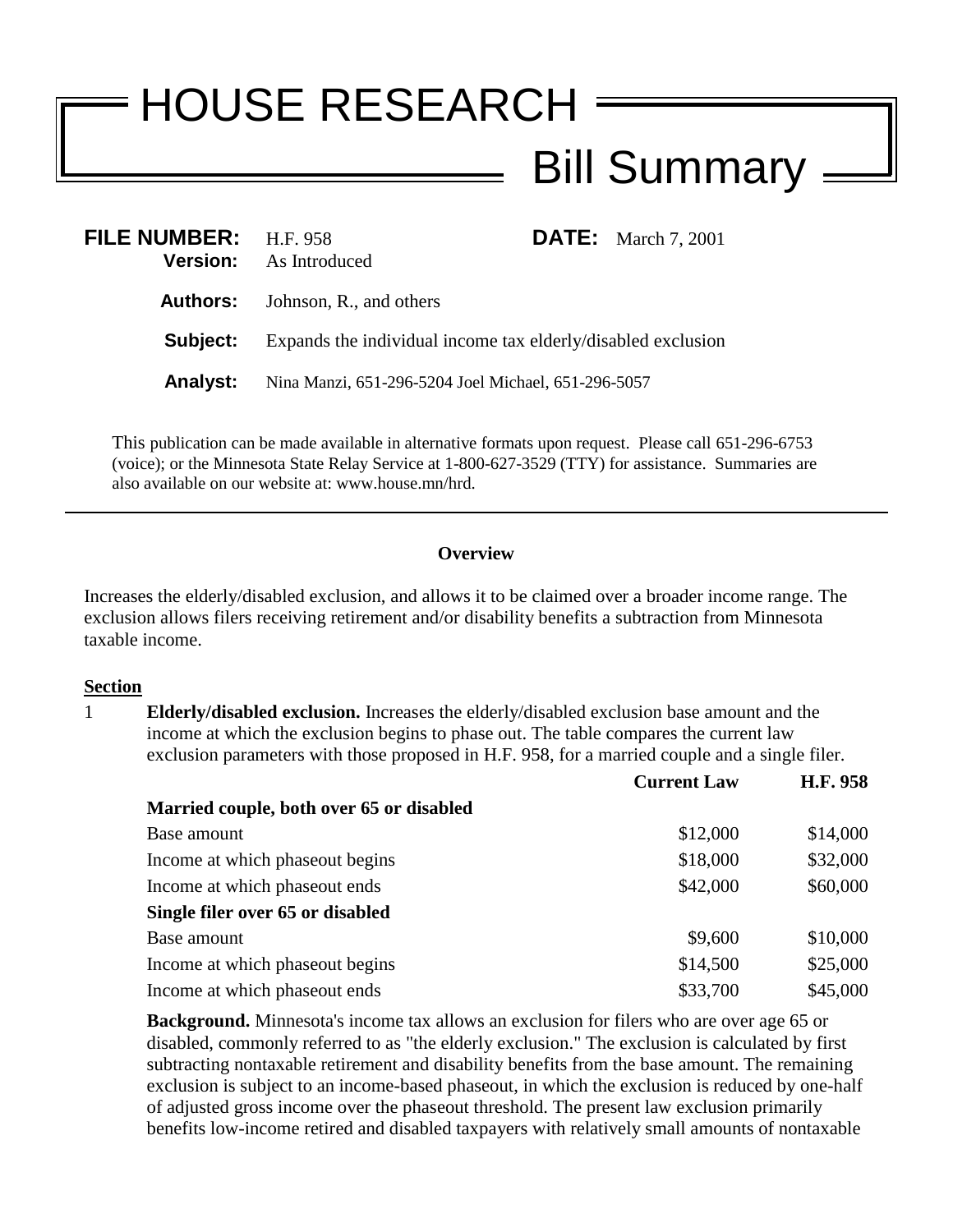## HOUSE RESEARCH Bill Summary

| <b>FILE NUMBER:</b> H.F. 958 | <b>Version:</b> As Introduced                                |  | <b>DATE:</b> March 7, 2001 |
|------------------------------|--------------------------------------------------------------|--|----------------------------|
|                              | <b>Authors:</b> Johnson, R., and others                      |  |                            |
| Subject:                     | Expands the individual income tax elderly/disabled exclusion |  |                            |
| <b>Analyst:</b>              | Nina Manzi, 651-296-5204 Joel Michael, 651-296-5057          |  |                            |

This publication can be made available in alternative formats upon request. Please call 651-296-6753 (voice); or the Minnesota State Relay Service at 1-800-627-3529 (TTY) for assistance. Summaries are also available on our website at: www.house.mn/hrd.

## **Overview**

Increases the elderly/disabled exclusion, and allows it to be claimed over a broader income range. The exclusion allows filers receiving retirement and/or disability benefits a subtraction from Minnesota taxable income.

## **Section**

1 **Elderly/disabled exclusion.** Increases the elderly/disabled exclusion base amount and the income at which the exclusion begins to phase out. The table compares the current law exclusion parameters with those proposed in H.F. 958, for a married couple and a single filer.

|                                          | <b>Current Law</b> | H.F. 958 |
|------------------------------------------|--------------------|----------|
| Married couple, both over 65 or disabled |                    |          |
| Base amount                              | \$12,000           | \$14,000 |
| Income at which phase out begins         | \$18,000           | \$32,000 |
| Income at which phaseout ends            | \$42,000           | \$60,000 |
| Single filer over 65 or disabled         |                    |          |
| Base amount                              | \$9,600            | \$10,000 |
| Income at which phase out begins         | \$14,500           | \$25,000 |
| Income at which phase out ends           | \$33,700           | \$45,000 |

**Background.** Minnesota's income tax allows an exclusion for filers who are over age 65 or disabled, commonly referred to as "the elderly exclusion." The exclusion is calculated by first subtracting nontaxable retirement and disability benefits from the base amount. The remaining exclusion is subject to an income-based phaseout, in which the exclusion is reduced by one-half of adjusted gross income over the phaseout threshold. The present law exclusion primarily benefits low-income retired and disabled taxpayers with relatively small amounts of nontaxable